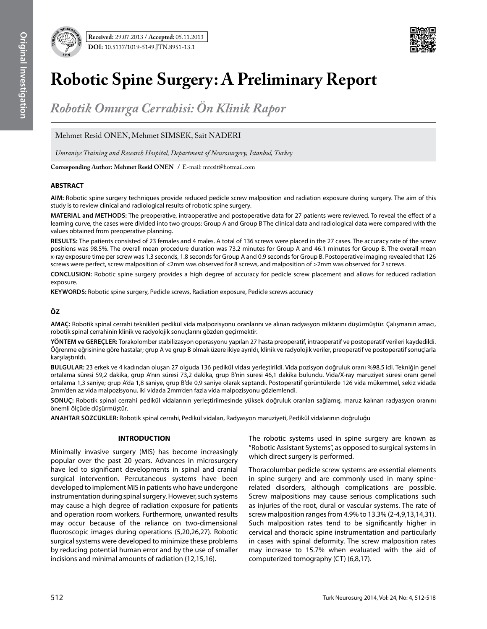



# **Robotic Spine Surgery: A Preliminary Report**

*Robotik Omurga Cerrahisi: Ön Klinik Rapor*

Mehmet Resid ONEN, Mehmet SIMSEK, Sait NADERI

*Umraniye Training and Research Hospital, Department of Neurosurgery, Istanbul, Turkey*

**Corresponding Author: Mehmet Resid Onen /** E-mail: mresit@hotmail.com

# **ABSTRACT**

**AIM:** Robotic spine surgery techniques provide reduced pedicle screw malposition and radiation exposure during surgery. The aim of this study is to review clinical and radiological results of robotic spine surgery.

**MaterIal and Methods:** The preoperative, intraoperative and postoperative data for 27 patients were reviewed. To reveal the effect of a learning curve, the cases were divided into two groups: Group A and Group B The clinical data and radiological data were compared with the values obtained from preoperative planning.

**Results:** The patients consisted of 23 females and 4 males. A total of 136 screws were placed in the 27 cases. The accuracy rate of the screw positions was 98.5%. The overall mean procedure duration was 73.2 minutes for Group A and 46.1 minutes for Group B. The overall mean x-ray exposure time per screw was 1.3 seconds, 1.8 seconds for Group A and 0.9 seconds for Group B. Postoperative imaging revealed that 126 screws were perfect, screw malposition of <2mm was observed for 8 screws, and malposition of >2mm was observed for 2 screws.

**ConclusIon:** Robotic spine surgery provides a high degree of accuracy for pedicle screw placement and allows for reduced radiation exposure.

**Keywords:** Robotic spine surgery, Pedicle screws, Radiation exposure, Pedicle screws accuracy

# **ÖZ**

**AMAÇ:** Robotik spinal cerrahi teknikleri pedikül vida malpozisyonu oranlarını ve alınan radyasyon miktarını düşürmüştür. Çalışmanın amacı, robotik spinal cerrahinin klinik ve radyolojik sonuçlarını gözden geçirmektir.

**YÖNTEM ve GEREÇLER:** Torakolomber stabilizasyon operasyonu yapılan 27 hasta preoperatif, intraoperatif ve postoperatif verileri kaydedildi. Öğrenme eğrisinine göre hastalar; grup A ve grup B olmak üzere ikiye ayrıldı, klinik ve radyolojik veriler, preoperatif ve postoperatif sonuçlarla karşılaştırıldı.

**BULGULAR:** 23 erkek ve 4 kadından oluşan 27 olguda 136 pedikül vidası yerleştirildi. Vida pozisyon doğruluk oranı %98,5 idi. Tekniğin genel ortalama süresi 59,2 dakika, grup A'nın süresi 73,2 dakika, grup B'nin süresi 46,1 dakika bulundu. Vida/X-ray maruziyet süresi oranı genel ortalama 1,3 saniye; grup A'da 1,8 saniye, grup B'de 0,9 saniye olarak saptandı. Postoperatif görüntülerde 126 vida mükemmel, sekiz vidada 2mm'den az vida malpozisyonu, iki vidada 2mm'den fazla vida malpozisyonu gözlemlendi.

**SONUÇ:** Robotik spinal cerrahi pedikül vidalarının yerleştirilmesinde yüksek doğruluk oranları sağlamış, maruz kalınan radyasyon oranını önemli ölçüde düşürmüştür.

**ANAHTAR SÖZCÜKLER:** Robotik spinal cerrahi, Pedikül vidaları, Radyasyon maruziyeti, Pedikül vidalarının doğruluğu

# **INTRODUCTION**

Minimally invasive surgery (MIS) has become increasingly popular over the past 20 years. Advances in microsurgery have led to significant developments in spinal and cranial surgical intervention. Percutaneous systems have been developed to implement MIS in patients who have undergone instrumentation during spinal surgery. However, such systems may cause a high degree of radiation exposure for patients and operation room workers. Furthermore, unwanted results may occur because of the reliance on two-dimensional fluoroscopic images during operations (5,20,26,27). Robotic surgical systems were developed to minimize these problems by reducing potential human error and by the use of smaller incisions and minimal amounts of radiation (12,15,16).

The robotic systems used in spine surgery are known as "Robotic Assistant Systems", as opposed to surgical systems in which direct surgery is performed.

Thoracolumbar pedicle screw systems are essential elements in spine surgery and are commonly used in many spinerelated disorders, although complications are possible. Screw malpositions may cause serious complications such as injuries of the root, dural or vascular systems. The rate of screw malposition ranges from 4.9% to 13.3% (2-4,9,13,14,31). Such malposition rates tend to be significantly higher in cervical and thoracic spine instrumentation and particularly in cases with spinal deformity. The screw malposition rates may increase to 15.7% when evaluated with the aid of computerized tomography (CT) (6,8,17).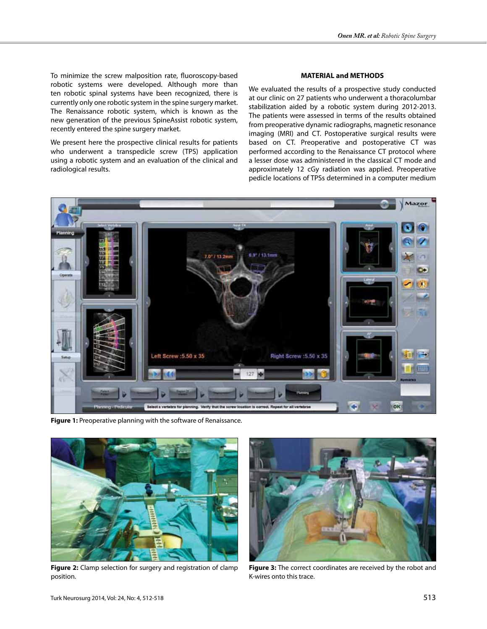To minimize the screw malposition rate, fluoroscopy-based robotic systems were developed. Although more than ten robotic spinal systems have been recognized, there is currently only one robotic system in the spine surgery market. The Renaissance robotic system, which is known as the new generation of the previous SpineAssist robotic system, recently entered the spine surgery market.

We present here the prospective clinical results for patients who underwent a transpedicle screw (TPS) application using a robotic system and an evaluation of the clinical and radiological results.

### **MATERIAL and METHODS**

We evaluated the results of a prospective study conducted at our clinic on 27 patients who underwent a thoracolumbar stabilization aided by a robotic system during 2012-2013. The patients were assessed in terms of the results obtained from preoperative dynamic radiographs, magnetic resonance imaging (MRI) and CT. Postoperative surgical results were based on CT. Preoperative and postoperative CT was performed according to the Renaissance CT protocol where a lesser dose was administered in the classical CT mode and approximately 12 cGy radiation was applied. Preoperative pedicle locations of TPSs determined in a computer medium



**Figure 1:** Preoperative planning with the software of Renaissance.



**Figure 2:** Clamp selection for surgery and registration of clamp position.



**Figure 3:** The correct coordinates are received by the robot and K-wires onto this trace.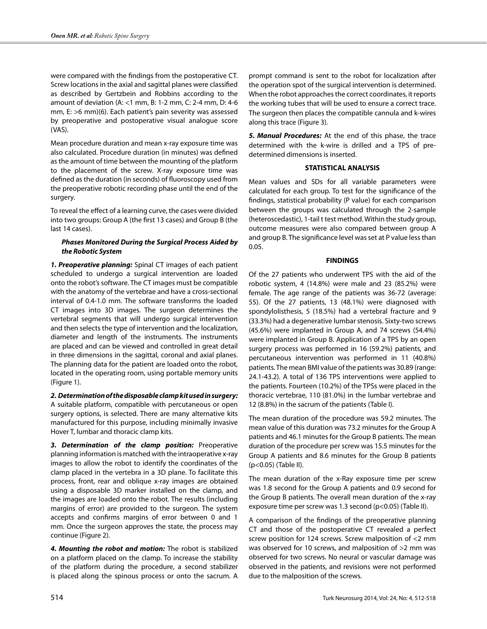were compared with the findings from the postoperative CT. Screw locations in the axial and sagittal planes were classified as described by Gertzbein and Robbins according to the amount of deviation (A: <1 mm, B: 1-2 mm, C: 2-4 mm, D: 4-6 mm, E: >6 mm)(6). Each patient's pain severity was assessed by preoperative and postoperative visual analogue score (VAS).

Mean procedure duration and mean x-ray exposure time was also calculated. Procedure duration (in minutes) was defined as the amount of time between the mounting of the platform to the placement of the screw. X-ray exposure time was defined as the duration (in seconds) of fluoroscopy used from the preoperative robotic recording phase until the end of the surgery.

To reveal the effect of a learning curve, the cases were divided into two groups: Group A (the first 13 cases) and Group B (the last 14 cases).

## *Phases Monitored During the Surgical Process Aided by the Robotic System*

*1. Preoperative planning:* Spinal CT images of each patient scheduled to undergo a surgical intervention are loaded onto the robot's software. The CT images must be compatible with the anatomy of the vertebrae and have a cross-sectional interval of 0.4-1.0 mm. The software transforms the loaded CT images into 3D images. The surgeon determines the vertebral segments that will undergo surgical intervention and then selects the type of intervention and the localization, diameter and length of the instruments. The instruments are placed and can be viewed and controlled in great detail in three dimensions in the sagittal, coronal and axial planes. The planning data for the patient are loaded onto the robot, located in the operating room, using portable memory units (Figure 1).

*2. Determination of the disposable clamp kit used in surgery:*  A suitable platform, compatible with percutaneous or open surgery options, is selected. There are many alternative kits manufactured for this purpose, including minimally invasive Hover T, lumbar and thoracic clamp kits.

*3. Determination of the clamp position:* Preoperative planning information is matched with the intraoperative x-ray images to allow the robot to identify the coordinates of the clamp placed in the vertebra in a 3D plane. To facilitate this process, front, rear and oblique x-ray images are obtained using a disposable 3D marker installed on the clamp, and the images are loaded onto the robot. The results (including margins of error) are provided to the surgeon. The system accepts and confirms margins of error between 0 and 1 mm. Once the surgeon approves the state, the process may continue (Figure 2).

*4. Mounting the robot and motion:* The robot is stabilized on a platform placed on the clamp. To increase the stability of the platform during the procedure, a second stabilizer is placed along the spinous process or onto the sacrum. A

prompt command is sent to the robot for localization after the operation spot of the surgical intervention is determined. When the robot approaches the correct coordinates, it reports the working tubes that will be used to ensure a correct trace. The surgeon then places the compatible cannula and k-wires along this trace (Figure 3).

*5. Manual Procedures:* At the end of this phase, the trace determined with the k-wire is drilled and a TPS of predetermined dimensions is inserted.

# **STATISTICAL ANALYSIS**

Mean values and SDs for all variable parameters were calculated for each group. To test for the significance of the findings, statistical probability (P value) for each comparison between the groups was calculated through the 2-sample (heteroscedastic), 1-tail t test method. Within the study group, outcome measures were also compared between group A and group B. The significance level was set at P value less than 0.05.

## **FINDINGS**

Of the 27 patients who underwent TPS with the aid of the robotic system, 4 (14.8%) were male and 23 (85.2%) were female. The age range of the patients was 36-72 (average: 55). Of the 27 patients, 13 (48.1%) were diagnosed with spondylolisthesis, 5 (18.5%) had a vertebral fracture and 9 (33.3%) had a degenerative lumbar stenosis. Sixty-two screws (45.6%) were implanted in Group A, and 74 screws (54.4%) were implanted in Group B. Application of a TPS by an open surgery process was performed in 16 (59.2%) patients, and percutaneous intervention was performed in 11 (40.8%) patients. The mean BMI value of the patients was 30.89 (range: 24.1-43.2). A total of 136 TPS interventions were applied to the patients. Fourteen (10.2%) of the TPSs were placed in the thoracic vertebrae, 110 (81.0%) in the lumbar vertebrae and 12 (8.8%) in the sacrum of the patients (Table I).

The mean duration of the procedure was 59.2 minutes. The mean value of this duration was 73.2 minutes for the Group A patients and 46.1 minutes for the Group B patients. The mean duration of the procedure per screw was 15.5 minutes for the Group A patients and 8.6 minutes for the Group B patients (p<0.05) (Table II).

The mean duration of the x-Ray exposure time per screw was 1.8 second for the Group A patients and 0.9 second for the Group B patients. The overall mean duration of the x-ray exposure time per screw was 1.3 second (p<0.05) (Table II).

A comparison of the findings of the preoperative planning CT and those of the postoperative CT revealed a perfect screw position for 124 screws. Screw malposition of <2 mm was observed for 10 screws, and malposition of >2 mm was observed for two screws. No neural or vascular damage was observed in the patients, and revisions were not performed due to the malposition of the screws.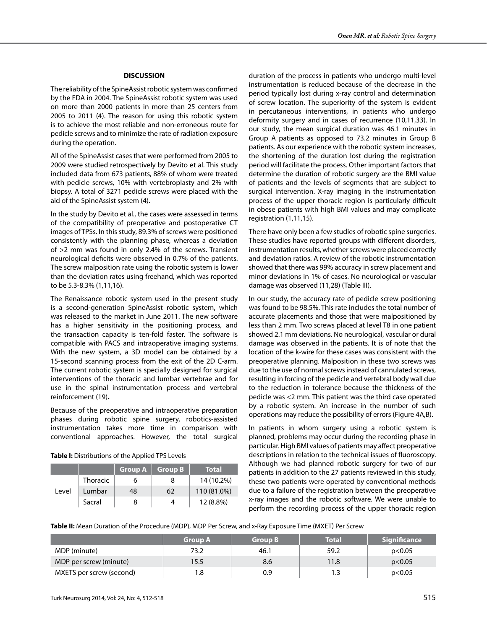#### **DISCUSSION**

The reliability of the SpineAssist robotic system was confirmed by the FDA in 2004. The SpineAssist robotic system was used on more than 2000 patients in more than 25 centers from 2005 to 2011 (4). The reason for using this robotic system is to achieve the most reliable and non-erroneous route for pedicle screws and to minimize the rate of radiation exposure during the operation.

All of the SpineAssist cases that were performed from 2005 to 2009 were studied retrospectively by Devito et al. This study included data from 673 patients, 88% of whom were treated with pedicle screws, 10% with vertebroplasty and 2% with biopsy. A total of 3271 pedicle screws were placed with the aid of the SpineAssist system (4).

In the study by Devito et al., the cases were assessed in terms of the compatibility of preoperative and postoperative CT images of TPSs. In this study, 89.3% of screws were positioned consistently with the planning phase, whereas a deviation of >2 mm was found in only 2.4% of the screws. Transient neurological deficits were observed in 0.7% of the patients. The screw malposition rate using the robotic system is lower than the deviation rates using freehand, which was reported to be 5.3-8.3% (1,11,16).

The Renaissance robotic system used in the present study is a second-generation SpineAssist robotic system, which was released to the market in June 2011. The new software has a higher sensitivity in the positioning process, and the transaction capacity is ten-fold faster. The software is compatible with PACS and intraoperative imaging systems. With the new system, a 3D model can be obtained by a 15-second scanning process from the exit of the 2D C-arm. The current robotic system is specially designed for surgical interventions of the thoracic and lumbar vertebrae and for use in the spinal instrumentation process and vertebral reinforcement (19)**.**

Because of the preoperative and intraoperative preparation phases during robotic spine surgery, robotics-assisted instrumentation takes more time in comparison with conventional approaches. However, the total surgical

|       |                 | Group A | Group B | <b>Total</b> |
|-------|-----------------|---------|---------|--------------|
| Level | <b>Thoracic</b> |         |         | 14 (10.2%)   |
|       | Lumbar          | 48      | 62      | 110 (81.0%)  |
|       | Sacral          | 8       |         | 12 (8.8%)    |

duration of the process in patients who undergo multi-level instrumentation is reduced because of the decrease in the period typically lost during x-ray control and determination of screw location. The superiority of the system is evident in percutaneous interventions, in patients who undergo deformity surgery and in cases of recurrence (10,11,33). In our study, the mean surgical duration was 46.1 minutes in Group A patients as opposed to 73.2 minutes in Group B patients. As our experience with the robotic system increases, the shortening of the duration lost during the registration period will facilitate the process. Other important factors that determine the duration of robotic surgery are the BMI value of patients and the levels of segments that are subject to surgical intervention. X-ray imaging in the instrumentation process of the upper thoracic region is particularly difficult in obese patients with high BMI values and may complicate registration (1,11,15).

There have only been a few studies of robotic spine surgeries. These studies have reported groups with different disorders, instrumentation results, whether screws were placed correctly and deviation ratios. A review of the robotic instrumentation showed that there was 99% accuracy in screw placement and minor deviations in 1% of cases. No neurological or vascular damage was observed (11,28) (Table III).

In our study, the accuracy rate of pedicle screw positioning was found to be 98.5%. This rate includes the total number of accurate placements and those that were malpositioned by less than 2 mm. Two screws placed at level T8 in one patient showed 2.1 mm deviations. No neurological, vascular or dural damage was observed in the patients. It is of note that the location of the k-wire for these cases was consistent with the preoperative planning. Malposition in these two screws was due to the use of normal screws instead of cannulated screws, resulting in forcing of the pedicle and vertebral body wall due to the reduction in tolerance because the thickness of the pedicle was <2 mm. This patient was the third case operated by a robotic system. An increase in the number of such operations may reduce the possibility of errors (Figure 4A,B).

In patients in whom surgery using a robotic system is planned, problems may occur during the recording phase in particular. High BMI values of patients may affect preoperative descriptions in relation to the technical issues of fluoroscopy. Although we had planned robotic surgery for two of our patients in addition to the 27 patients reviewed in this study, these two patients were operated by conventional methods due to a failure of the registration between the preoperative x-ray images and the robotic software. We were unable to perform the recording process of the upper thoracic region

Table II: Mean Duration of the Procedure (MDP), MDP Per Screw, and x-Ray Exposure Time (MXET) Per Screw

|                          | <b>Group A</b> | <b>Group B</b> | <b>Total</b> | <b>Significance</b> |
|--------------------------|----------------|----------------|--------------|---------------------|
| MDP (minute)             | 73.2           | 46.1           | 59.2         | p<0.05              |
| MDP per screw (minute)   | 15.5           | 8.6            | 11.8         | p<0.05              |
| MXETS per screw (second) | 8، ۱           | 0.9            | 1.3          | p<0.05              |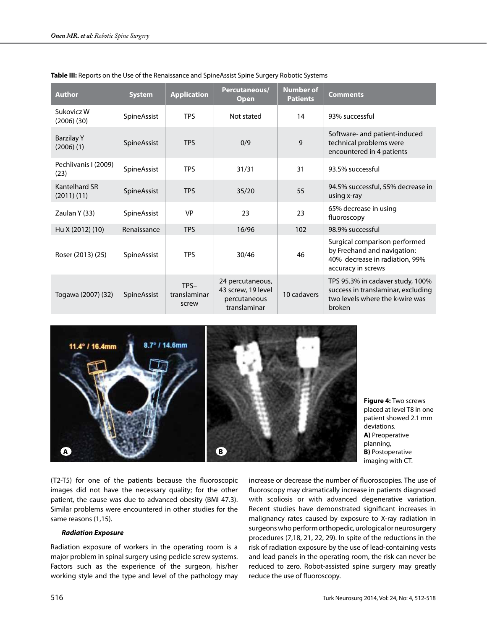| <b>Author</b>                       | <b>System</b> | <b>Application</b>              | Percutaneous/<br><b>Open</b>                                           | <b>Number of</b><br><b>Patients</b> | <b>Comments</b>                                                                                                      |
|-------------------------------------|---------------|---------------------------------|------------------------------------------------------------------------|-------------------------------------|----------------------------------------------------------------------------------------------------------------------|
| Sukovicz W<br>(2006)(30)            | SpineAssist   | <b>TPS</b>                      | Not stated                                                             | 14                                  | 93% successful                                                                                                       |
| <b>Barzilay Y</b><br>$(2006)$ $(1)$ | SpineAssist   | <b>TPS</b>                      | 0/9                                                                    | 9                                   | Software- and patient-induced<br>technical problems were<br>encountered in 4 patients                                |
| Pechlivanis I (2009)<br>(23)        | SpineAssist   | <b>TPS</b>                      | 31/31                                                                  | 31                                  | 93.5% successful                                                                                                     |
| Kantelhard SR<br>(2011)(11)         | SpineAssist   | <b>TPS</b>                      | 35/20                                                                  | 55                                  | 94.5% successful, 55% decrease in<br>using x-ray                                                                     |
| Zaulan Y (33)                       | SpineAssist   | <b>VP</b>                       | 23                                                                     | 23                                  | 65% decrease in using<br>fluoroscopy                                                                                 |
| Hu X (2012) (10)                    | Renaissance   | <b>TPS</b>                      | 16/96                                                                  | 102                                 | 98.9% successful                                                                                                     |
| Roser (2013) (25)                   | SpineAssist   | <b>TPS</b>                      | 30/46                                                                  | 46                                  | Surgical comparison performed<br>by Freehand and navigation:<br>40% decrease in radiation, 99%<br>accuracy in screws |
| Togawa (2007) (32)                  | SpineAssist   | $TPS-$<br>translaminar<br>screw | 24 percutaneous,<br>43 screw, 19 level<br>percutaneous<br>translaminar | 10 cadavers                         | TPS 95.3% in cadaver study, 100%<br>success in translaminar, excluding<br>two levels where the k-wire was<br>broken  |

## **Table III:** Reports on the Use of the Renaissance and SpineAssist Spine Surgery Robotic Systems



**Figure 4:** Two screws placed at level T8 in one patient showed 2.1 mm deviations. **A)** Preoperative planning, **B)** Postoperative imaging with CT.

(T2-T5) for one of the patients because the fluoroscopic images did not have the necessary quality; for the other patient, the cause was due to advanced obesity (BMI 47.3). Similar problems were encountered in other studies for the same reasons (1,15).

## *Radiation Exposure*

Radiation exposure of workers in the operating room is a major problem in spinal surgery using pedicle screw systems. Factors such as the experience of the surgeon, his/her working style and the type and level of the pathology may increase or decrease the number of fluoroscopies. The use of fluoroscopy may dramatically increase in patients diagnosed with scoliosis or with advanced degenerative variation. Recent studies have demonstrated significant increases in malignancy rates caused by exposure to X-ray radiation in surgeons who perform orthopedic, urological or neurosurgery procedures (7,18, 21, 22, 29). In spite of the reductions in the risk of radiation exposure by the use of lead-containing vests and lead panels in the operating room, the risk can never be reduced to zero. Robot-assisted spine surgery may greatly reduce the use of fluoroscopy.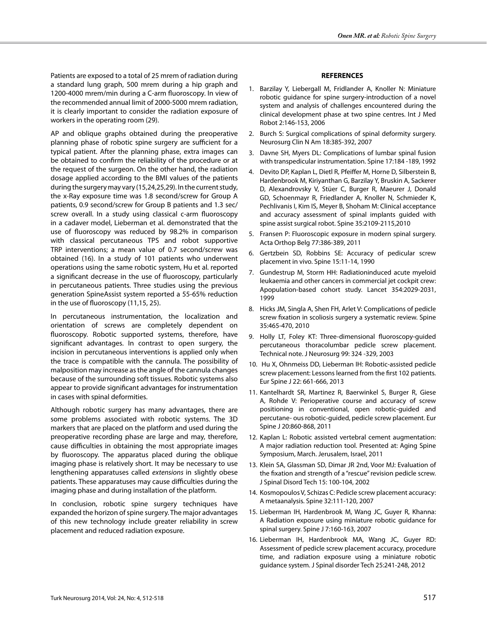Patients are exposed to a total of 25 mrem of radiation during a standard lung graph, 500 mrem during a hip graph and 1200-4000 mrem/min during a C-arm fluoroscopy. In view of the recommended annual limit of 2000-5000 mrem radiation, it is clearly important to consider the radiation exposure of workers in the operating room (29).

AP and oblique graphs obtained during the preoperative planning phase of robotic spine surgery are sufficient for a typical patient. After the planning phase, extra images can be obtained to confirm the reliability of the procedure or at the request of the surgeon. On the other hand, the radiation dosage applied according to the BMI values of the patients during the surgery may vary (15,24,25,29). In the current study, the x-Ray exposure time was 1.8 second/screw for Group A patients, 0.9 second/screw for Group B patients and 1.3 sec/ screw overall. In a study using classical c-arm fluoroscopy in a cadaver model, Lieberman et al. demonstrated that the use of fluoroscopy was reduced by 98.2% in comparison with classical percutaneous TPS and robot supportive TRP interventions; a mean value of 0.7 second/screw was obtained (16). In a study of 101 patients who underwent operations using the same robotic system, Hu et al. reported a significant decrease in the use of fluoroscopy, particularly in percutaneous patients. Three studies using the previous generation SpineAssist system reported a 55-65% reduction in the use of fluoroscopy (11,15, 25).

In percutaneous instrumentation, the localization and orientation of screws are completely dependent on fluoroscopy. Robotic supported systems, therefore, have significant advantages. In contrast to open surgery, the incision in percutaneous interventions is applied only when the trace is compatible with the cannula. The possibility of malposition may increase as the angle of the cannula changes because of the surrounding soft tissues. Robotic systems also appear to provide significant advantages for instrumentation in cases with spinal deformities.

Although robotic surgery has many advantages, there are some problems associated with robotic systems. The 3D markers that are placed on the platform and used during the preoperative recording phase are large and may, therefore, cause difficulties in obtaining the most appropriate images by fluoroscopy. The apparatus placed during the oblique imaging phase is relatively short. It may be necessary to use lengthening apparatuses called *extensions* in slightly obese patients. These apparatuses may cause difficulties during the imaging phase and during installation of the platform.

In conclusion, robotic spine surgery techniques have expanded the horizon of spine surgery. The major advantages of this new technology include greater reliability in screw placement and reduced radiation exposure.

#### **REFERENCES**

- 1. Barzilay Y, Liebergall M, Fridlander A, Knoller N: Miniature robotic guidance for spine surgery-introduction of a novel system and analysis of challenges encountered during the clinical development phase at two spine centres. Int J Med Robot 2:146-153, 2006
- 2. Burch S: Surgical complications of spinal deformity surgery. Neurosurg Clin N Am 18:385-392, 2007
- 3. Davne SH, Myers DL: Complications of lumbar spinal fusion with transpedicular instrumentation. Spine 17:184 -189, 1992
- 4. Devito DP, Kaplan L, Dietl R, Pfeiffer M, Horne D, Silberstein B, Hardenbrook M, Kiriyanthan G, Barzilay Y, Bruskin A, Sackerer D, Alexandrovsky V, Stüer C, Burger R, Maeurer J, Donald GD, Schoenmayr R, Friedlander A, Knoller N, Schmieder K, Pechlivanis I, Kim IS, Meyer B, Shoham M: Clinical acceptance and accuracy assessment of spinal implants guided with spine assist surgical robot. Spine 35:2109-2115,2010
- 5. Fransen P: Fluoroscopic exposure in modern spinal surgery. Acta Orthop Belg 77:386-389, 2011
- 6. Gertzbein SD, Robbins SE: Accuracy of pedicular screw placement in vivo. Spine 15:11-14, 1990
- 7. Gundestrup M, Storm HH: Radiationinduced acute myeloid leukaemia and other cancers in commercial jet cockpit crew: Apopulation-based cohort study. Lancet 354:2029-2031, 1999
- 8. Hicks JM, Singla A, Shen FH, Arlet V: Complications of pedicle screw fixation in scoliosis surgery a systematic review. Spine 35:465-470, 2010
- 9. Holly LT, Foley KT: Three-dimensional fluoroscopy-guided percutaneous thoracolumbar pedicle screw placement. Technical note. J Neurosurg 99: 324 -329, 2003
- 10. Hu X, Ohnmeiss DD, Lieberman IH: Robotic-assisted pedicle screw placement: Lessons learned from the first 102 patients. Eur Spine J 22: 661-666, 2013
- 11. Kantelhardt SR, Martinez R, Baerwinkel S, Burger R, Giese A, Rohde V: Perioperative course and accuracy of screw positioning in conventional, open robotic-guided and percutane- ous robotic-guided, pedicle screw placement. Eur Spine J 20:860-868, 2011
- 12. Kaplan L: Robotic assisted vertebral cement augmentation: A major radiation reduction tool. Presented at: Aging Spine Symposium, March. Jerusalem, Israel, 2011
- 13. Klein SA, Glassman SD, Dimar JR 2nd, Voor MJ: Evaluation of the fixation and strength of a "rescue" revision pedicle screw. J Spinal Disord Tech 15: 100-104, 2002
- 14. Kosmopoulos V, Schizas C: Pedicle screw placement accuracy: A metaanalysis. Spine 32:111-120, 2007
- 15. Lieberman IH, Hardenbrook M, Wang JC, Guyer R, Khanna: A Radiation exposure using miniature robotic guidance for spinal surgery. Spine J 7:160-163, 2007
- 16. Lieberman IH, Hardenbrook MA, Wang JC, Guyer RD: Assessment of pedicle screw placement accuracy, procedure time, and radiation exposure using a miniature robotic guidance system. J Spinal disorder Tech 25:241-248, 2012